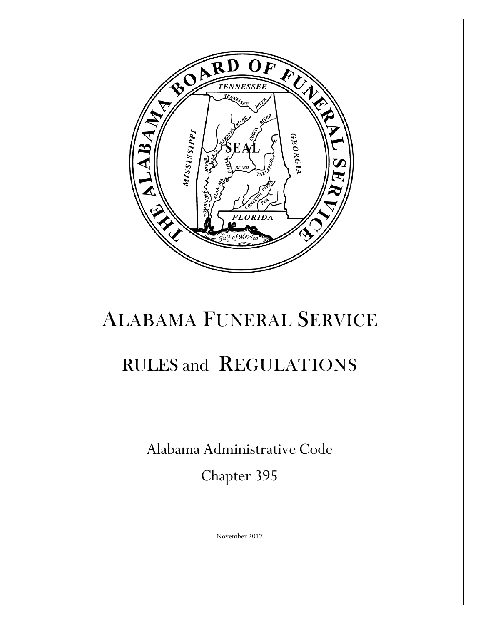

# ALABAMA FUNERAL SERVICE

# RULES and REGULATIONS

Alabama Administrative Code

Chapter 395

November 2017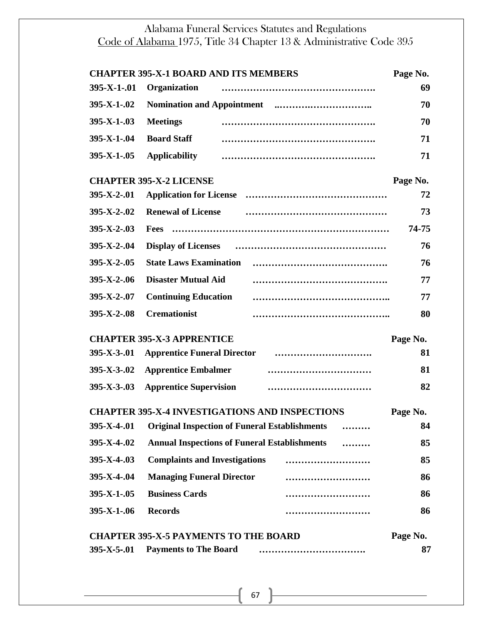|                                                          | <b>CHAPTER 395-X-1 BOARD AND ITS MEMBERS</b>         |                                                       | Page No. |
|----------------------------------------------------------|------------------------------------------------------|-------------------------------------------------------|----------|
| 395-X-1-.01                                              | Organization                                         |                                                       | 69       |
| $395 - X - 1 - 02$                                       |                                                      |                                                       | 70       |
| $395 - X - 1 - 03$                                       | <b>Meetings</b>                                      |                                                       | 70       |
| $395 - X - 1 - 04$                                       | <b>Board Staff</b>                                   |                                                       | 71       |
| $395 - X - 1 - 05$                                       | <b>Applicability</b>                                 |                                                       | 71       |
|                                                          | <b>CHAPTER 395-X-2 LICENSE</b>                       |                                                       | Page No. |
| $395 - X - 2 - 01$                                       | <b>Application for License</b>                       |                                                       | 72       |
| $395 - X - 2 - 02$                                       | <b>Renewal of License</b>                            |                                                       | 73       |
| $395 - X - 2 - 03$                                       | <b>Fees</b>                                          |                                                       | 74-75    |
| $395 - X - 2 - 04$                                       | <b>Display of Licenses</b>                           |                                                       | 76       |
| $395 - X - 2 - 05$                                       | <b>State Laws Examination</b>                        |                                                       | 76       |
| $395 - X - 2 - 06$                                       | <b>Disaster Mutual Aid</b>                           |                                                       | 77       |
| $395 - X - 2 - 07$                                       | <b>Continuing Education</b>                          |                                                       | 77       |
| $395-X-2-08$                                             | <b>Cremationist</b>                                  |                                                       | 80       |
|                                                          | <b>CHAPTER 395-X-3 APPRENTICE</b>                    |                                                       | Page No. |
| $395 - X - 3 - 01$                                       | <b>Apprentice Funeral Director</b>                   |                                                       | 81       |
| $395 - X - 3 - 02$                                       | <b>Apprentice Embalmer</b>                           |                                                       | 81       |
| $395 - X - 3 - 03$                                       | <b>Apprentice Supervision</b>                        |                                                       | 82       |
|                                                          |                                                      | <b>CHAPTER 395-X-4 INVESTIGATIONS AND INSPECTIONS</b> | Page No. |
| 395-X-4-.01                                              | <b>Original Inspection of Funeral Establishments</b> |                                                       | 84       |
| $395 - X - 4 - 02$                                       | <b>Annual Inspections of Funeral Establishments</b>  |                                                       | 85       |
| $395 - X - 4 - 03$                                       | <b>Complaints and Investigations</b>                 |                                                       | 85       |
| $395 - X - 4 - 04$                                       | <b>Managing Funeral Director</b>                     |                                                       | 86       |
| $395 - X - 1 - 05$                                       | <b>Business Cards</b>                                |                                                       | 86       |
| $395 - X - 1 - 06$                                       | <b>Records</b>                                       |                                                       | 86       |
| <b>CHAPTER 395-X-5 PAYMENTS TO THE BOARD</b><br>Page No. |                                                      |                                                       |          |
| $395 - X - 5 - 01$                                       | <b>Payments to The Board</b>                         |                                                       | 87       |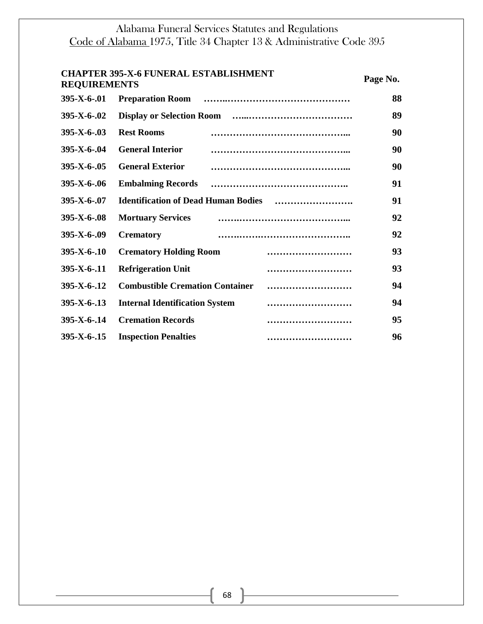| <b>REQUIREMENTS</b>  | <b>CHAPTER 395-X-6 FUNERAL ESTABLISHMENT</b> | Page No. |
|----------------------|----------------------------------------------|----------|
| $395 - X - 6 - 01$   | <b>Preparation Room</b>                      | 88       |
| $395 - X - 6 - 02$   |                                              | 89       |
| $395 - X - 6 - 03$   | <b>Rest Rooms</b>                            | 90       |
| $395 - X - 6 - 04$   | <b>General Interior</b>                      | 90       |
| $395 - X - 6 - 0.05$ | <b>General Exterior</b>                      | 90       |
| $395 - X - 6 - 06$   | <b>Embalming Records</b>                     | 91       |
| $395 - X - 6 - 07$   | <b>Identification of Dead Human Bodies</b>   | 91       |
| $395 - X - 6 - 0.08$ | <b>Mortuary Services</b>                     | 92       |
| $395 - X - 6 - 0.09$ | <b>Crematory</b>                             | 92       |
| $395-X-6-10$         | <b>Crematory Holding Room</b><br>            | 93       |
| $395 - X - 6 - 11$   | <b>Refrigeration Unit</b><br>                | 93       |
| $395 - X - 6 - 12$   | <b>Combustible Cremation Container</b>       | 94       |
| $395 - X - 6 - 13$   | <b>Internal Identification System</b><br>    | 94       |
| $395 - X - 6 - 14$   | <b>Cremation Records</b><br>                 | 95       |
| $395 - X - 6 - 15$   | <b>Inspection Penalties</b><br>              | 96       |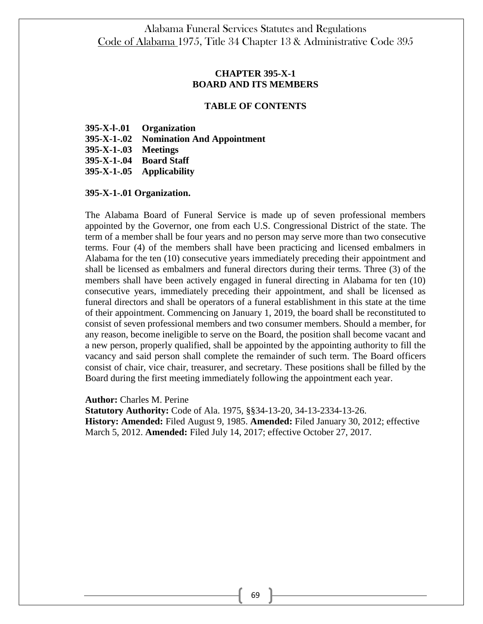## **CHAPTER 395-X-1 BOARD AND ITS MEMBERS**

#### **TABLE OF CONTENTS**

|                      | 395-X-l-.01 Organization               |
|----------------------|----------------------------------------|
|                      | 395-X-1-.02 Nomination And Appointment |
| 395-X-1-.03 Meetings |                                        |
|                      | 395-X-1-.04 Board Staff                |
|                      | 395-X-1-.05 Applicability              |

#### **395-X-1-.01 Organization.**

The Alabama Board of Funeral Service is made up of seven professional members appointed by the Governor, one from each U.S. Congressional District of the state. The term of a member shall be four years and no person may serve more than two consecutive terms. Four (4) of the members shall have been practicing and licensed embalmers in Alabama for the ten (10) consecutive years immediately preceding their appointment and shall be licensed as embalmers and funeral directors during their terms. Three (3) of the members shall have been actively engaged in funeral directing in Alabama for ten (10) consecutive years, immediately preceding their appointment, and shall be licensed as funeral directors and shall be operators of a funeral establishment in this state at the time of their appointment. Commencing on January 1, 2019, the board shall be reconstituted to consist of seven professional members and two consumer members. Should a member, for any reason, become ineligible to serve on the Board, the position shall become vacant and a new person, properly qualified, shall be appointed by the appointing authority to fill the vacancy and said person shall complete the remainder of such term. The Board officers consist of chair, vice chair, treasurer, and secretary. These positions shall be filled by the Board during the first meeting immediately following the appointment each year.

**Author:** Charles M. Perine

**Statutory Authority:** Code of Ala. 1975, §§34-13-20, 34-13-2334-13-26. **History: Amended:** Filed August 9, 1985. **Amended:** Filed January 30, 2012; effective March 5, 2012. **Amended:** Filed July 14, 2017; effective October 27, 2017.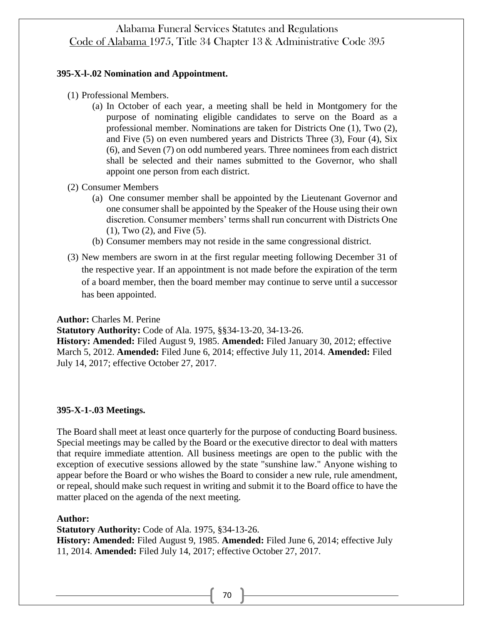#### **395-X-l-.02 Nomination and Appointment.**

- (1) Professional Members.
	- (a) In October of each year, a meeting shall be held in Montgomery for the purpose of nominating eligible candidates to serve on the Board as a professional member. Nominations are taken for Districts One (1), Two (2), and Five (5) on even numbered years and Districts Three (3), Four (4), Six (6), and Seven (7) on odd numbered years. Three nominees from each district shall be selected and their names submitted to the Governor, who shall appoint one person from each district.
- (2) Consumer Members
	- (a) One consumer member shall be appointed by the Lieutenant Governor and one consumer shall be appointed by the Speaker of the House using their own discretion. Consumer members' terms shall run concurrent with Districts One (1), Two (2), and Five (5).
	- (b) Consumer members may not reside in the same congressional district.
- (3) New members are sworn in at the first regular meeting following December 31 of the respective year. If an appointment is not made before the expiration of the term of a board member, then the board member may continue to serve until a successor has been appointed.

**Author:** Charles M. Perine

**Statutory Authority:** Code of Ala. 1975, §§34-13-20, 34-13-26.

**History: Amended:** Filed August 9, 1985. **Amended:** Filed January 30, 2012; effective March 5, 2012. **Amended:** Filed June 6, 2014; effective July 11, 2014. **Amended:** Filed July 14, 2017; effective October 27, 2017.

#### **395-X-1-.03 Meetings.**

The Board shall meet at least once quarterly for the purpose of conducting Board business. Special meetings may be called by the Board or the executive director to deal with matters that require immediate attention. All business meetings are open to the public with the exception of executive sessions allowed by the state "sunshine law." Anyone wishing to appear before the Board or who wishes the Board to consider a new rule, rule amendment, or repeal, should make such request in writing and submit it to the Board office to have the matter placed on the agenda of the next meeting.

#### **Author:**

**Statutory Authority:** Code of Ala. 1975, §34-13-26. **History: Amended:** Filed August 9, 1985. **Amended:** Filed June 6, 2014; effective July 11, 2014. **Amended:** Filed July 14, 2017; effective October 27, 2017.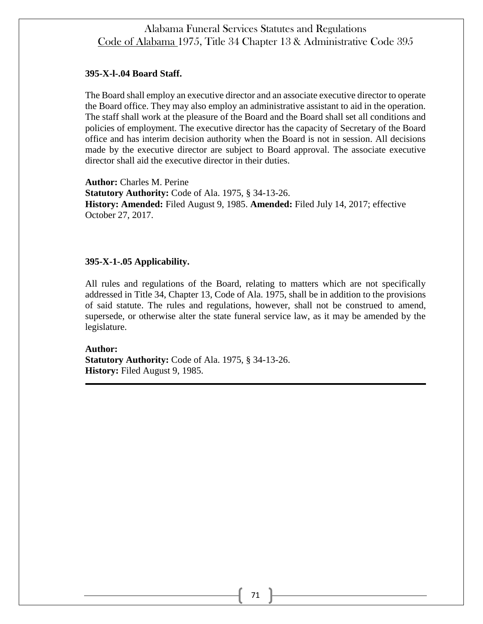#### **395-X-l-.04 Board Staff.**

The Board shall employ an executive director and an associate executive director to operate the Board office. They may also employ an administrative assistant to aid in the operation. The staff shall work at the pleasure of the Board and the Board shall set all conditions and policies of employment. The executive director has the capacity of Secretary of the Board office and has interim decision authority when the Board is not in session. All decisions made by the executive director are subject to Board approval. The associate executive director shall aid the executive director in their duties.

**Author:** Charles M. Perine **Statutory Authority:** Code of Ala. 1975, § 34-13-26. **History: Amended:** Filed August 9, 1985. **Amended:** Filed July 14, 2017; effective October 27, 2017.

## **395-X-1-.05 Applicability.**

All rules and regulations of the Board, relating to matters which are not specifically addressed in Title 34, Chapter 13, Code of Ala. 1975, shall be in addition to the provisions of said statute. The rules and regulations, however, shall not be construed to amend, supersede, or otherwise alter the state funeral service law, as it may be amended by the legislature.

**Author: Statutory Authority:** Code of Ala. 1975, § 34-13-26. **History:** Filed August 9, 1985.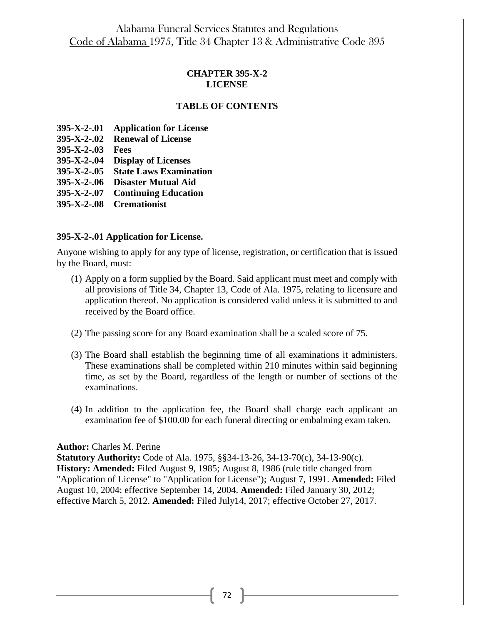## **CHAPTER 395-X-2 LICENSE**

## **TABLE OF CONTENTS**

- **395-X-2-.01 Application for License**
- **395-X-2-.02 Renewal of License**
- **395-X-2-.03 Fees**

**395-X-2-.04 Display of Licenses**

**395-X-2-.05 State Laws Examination**

**395-X-2-.06 Disaster Mutual Aid**

**395-X-2-.07 Continuing Education**

**395-X-2-.08 Cremationist**

#### **395-X-2-.01 Application for License.**

Anyone wishing to apply for any type of license, registration, or certification that is issued by the Board, must:

- (1) Apply on a form supplied by the Board. Said applicant must meet and comply with all provisions of Title 34, Chapter 13, Code of Ala. 1975, relating to licensure and application thereof. No application is considered valid unless it is submitted to and received by the Board office.
- (2) The passing score for any Board examination shall be a scaled score of 75.
- (3) The Board shall establish the beginning time of all examinations it administers. These examinations shall be completed within 210 minutes within said beginning time, as set by the Board, regardless of the length or number of sections of the examinations.
- (4) In addition to the application fee, the Board shall charge each applicant an examination fee of \$100.00 for each funeral directing or embalming exam taken.

#### **Author:** Charles M. Perine

**Statutory Authority:** Code of Ala. 1975, §§34-13-26, 34-13-70(c), 34-13-90(c). **History: Amended:** Filed August 9, 1985; August 8, 1986 (rule title changed from "Application of License" to "Application for License"); August 7, 1991. **Amended:** Filed August 10, 2004; effective September 14, 2004. **Amended:** Filed January 30, 2012; effective March 5, 2012. **Amended:** Filed July14, 2017; effective October 27, 2017.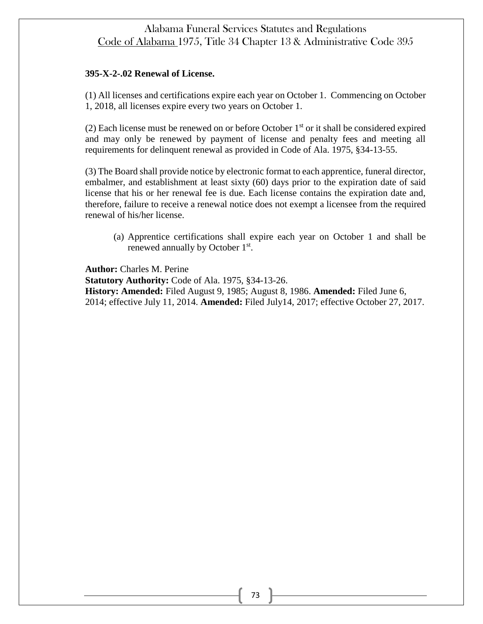## **395-X-2-.02 Renewal of License.**

(1) All licenses and certifications expire each year on October 1. Commencing on October 1, 2018, all licenses expire every two years on October 1.

(2) Each license must be renewed on or before October  $1<sup>st</sup>$  or it shall be considered expired and may only be renewed by payment of license and penalty fees and meeting all requirements for delinquent renewal as provided in Code of Ala. 1975, §34-13-55.

(3) The Board shall provide notice by electronic format to each apprentice, funeral director, embalmer, and establishment at least sixty (60) days prior to the expiration date of said license that his or her renewal fee is due. Each license contains the expiration date and, therefore, failure to receive a renewal notice does not exempt a licensee from the required renewal of his/her license.

(a) Apprentice certifications shall expire each year on October 1 and shall be renewed annually by October 1<sup>st</sup>.

**Author:** Charles M. Perine

**Statutory Authority:** Code of Ala. 1975, §34-13-26. **History: Amended:** Filed August 9, 1985; August 8, 1986. **Amended:** Filed June 6, 2014; effective July 11, 2014. **Amended:** Filed July14, 2017; effective October 27, 2017.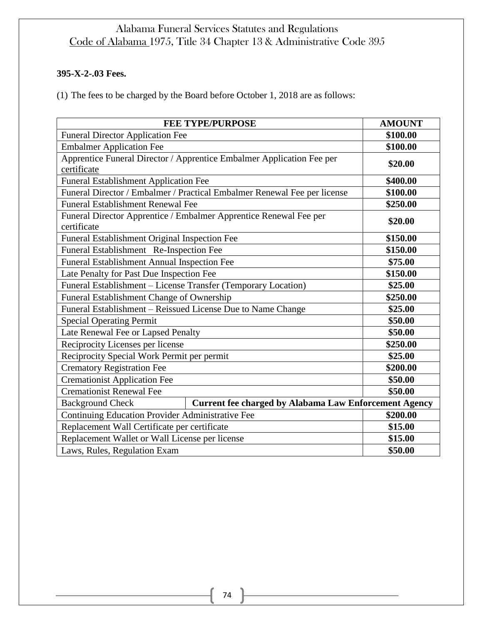# **395-X-2-.03 Fees.**

(1) The fees to be charged by the Board before October 1, 2018 are as follows:

|                                                                                  | <b>FEE TYPE/PURPOSE</b>                                                  | <b>AMOUNT</b> |
|----------------------------------------------------------------------------------|--------------------------------------------------------------------------|---------------|
| <b>Funeral Director Application Fee</b>                                          |                                                                          | \$100.00      |
| <b>Embalmer Application Fee</b>                                                  |                                                                          | \$100.00      |
| certificate                                                                      | Apprentice Funeral Director / Apprentice Embalmer Application Fee per    | \$20.00       |
| <b>Funeral Establishment Application Fee</b>                                     |                                                                          | \$400.00      |
|                                                                                  | Funeral Director / Embalmer / Practical Embalmer Renewal Fee per license | \$100.00      |
| <b>Funeral Establishment Renewal Fee</b>                                         |                                                                          | \$250.00      |
| Funeral Director Apprentice / Embalmer Apprentice Renewal Fee per<br>certificate |                                                                          | \$20.00       |
| Funeral Establishment Original Inspection Fee                                    |                                                                          | \$150.00      |
| Funeral Establishment Re-Inspection Fee                                          |                                                                          | \$150.00      |
| Funeral Establishment Annual Inspection Fee                                      |                                                                          | \$75.00       |
| Late Penalty for Past Due Inspection Fee                                         |                                                                          | \$150.00      |
| Funeral Establishment - License Transfer (Temporary Location)                    |                                                                          | \$25.00       |
| Funeral Establishment Change of Ownership                                        |                                                                          | \$250.00      |
| Funeral Establishment – Reissued License Due to Name Change                      |                                                                          | \$25.00       |
| <b>Special Operating Permit</b>                                                  |                                                                          | \$50.00       |
| Late Renewal Fee or Lapsed Penalty                                               |                                                                          | \$50.00       |
| Reciprocity Licenses per license                                                 |                                                                          | \$250.00      |
| Reciprocity Special Work Permit per permit                                       |                                                                          | \$25.00       |
| <b>Crematory Registration Fee</b>                                                |                                                                          | \$200.00      |
| <b>Cremationist Application Fee</b>                                              |                                                                          | \$50.00       |
| <b>Cremationist Renewal Fee</b>                                                  |                                                                          | \$50.00       |
| <b>Background Check</b>                                                          | <b>Current fee charged by Alabama Law Enforcement Agency</b>             |               |
| Continuing Education Provider Administrative Fee                                 |                                                                          | \$200.00      |
| Replacement Wall Certificate per certificate                                     |                                                                          | \$15.00       |
| Replacement Wallet or Wall License per license                                   |                                                                          | \$15.00       |
| Laws, Rules, Regulation Exam                                                     |                                                                          | \$50.00       |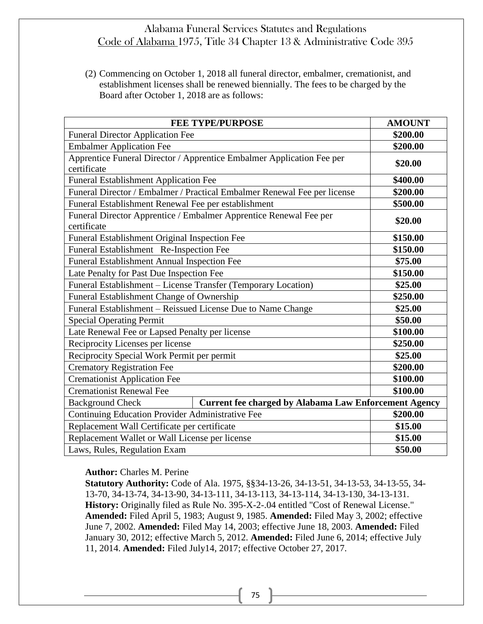(2) Commencing on October 1, 2018 all funeral director, embalmer, cremationist, and establishment licenses shall be renewed biennially. The fees to be charged by the Board after October 1, 2018 are as follows:

| <b>FEE TYPE/PURPOSE</b>                                                                 | <b>AMOUNT</b> |
|-----------------------------------------------------------------------------------------|---------------|
| <b>Funeral Director Application Fee</b>                                                 | \$200.00      |
| <b>Embalmer Application Fee</b>                                                         | \$200.00      |
| Apprentice Funeral Director / Apprentice Embalmer Application Fee per<br>certificate    | \$20.00       |
| <b>Funeral Establishment Application Fee</b>                                            | \$400.00      |
| Funeral Director / Embalmer / Practical Embalmer Renewal Fee per license                | \$200.00      |
| Funeral Establishment Renewal Fee per establishment                                     | \$500.00      |
| Funeral Director Apprentice / Embalmer Apprentice Renewal Fee per<br>certificate        | \$20.00       |
| Funeral Establishment Original Inspection Fee                                           | \$150.00      |
| Funeral Establishment Re-Inspection Fee                                                 | \$150.00      |
| <b>Funeral Establishment Annual Inspection Fee</b>                                      | \$75.00       |
| Late Penalty for Past Due Inspection Fee                                                | \$150.00      |
| Funeral Establishment - License Transfer (Temporary Location)                           | \$25.00       |
| Funeral Establishment Change of Ownership                                               | \$250.00      |
| Funeral Establishment - Reissued License Due to Name Change                             | \$25.00       |
| <b>Special Operating Permit</b>                                                         | \$50.00       |
| Late Renewal Fee or Lapsed Penalty per license                                          | \$100.00      |
| Reciprocity Licenses per license                                                        | \$250.00      |
| Reciprocity Special Work Permit per permit                                              | \$25.00       |
| <b>Crematory Registration Fee</b>                                                       | \$200.00      |
| <b>Cremationist Application Fee</b>                                                     | \$100.00      |
| <b>Cremationist Renewal Fee</b>                                                         | \$100.00      |
| <b>Current fee charged by Alabama Law Enforcement Agency</b><br><b>Background Check</b> |               |
| Continuing Education Provider Administrative Fee                                        | \$200.00      |
| Replacement Wall Certificate per certificate                                            | \$15.00       |
| Replacement Wallet or Wall License per license                                          | \$15.00       |
| Laws, Rules, Regulation Exam                                                            | \$50.00       |

#### **Author:** Charles M. Perine

**Statutory Authority:** Code of Ala. 1975, §§34-13-26, 34-13-51, 34-13-53, 34-13-55, 34- 13-70, 34-13-74, 34-13-90, 34-13-111, 34-13-113, 34-13-114, 34-13-130, 34-13-131. **History:** Originally filed as Rule No. 395-X-2-.04 entitled "Cost of Renewal License." **Amended:** Filed April 5, 1983; August 9, 1985. **Amended:** Filed May 3, 2002; effective June 7, 2002. **Amended:** Filed May 14, 2003; effective June 18, 2003. **Amended:** Filed January 30, 2012; effective March 5, 2012. **Amended:** Filed June 6, 2014; effective July 11, 2014. **Amended:** Filed July14, 2017; effective October 27, 2017.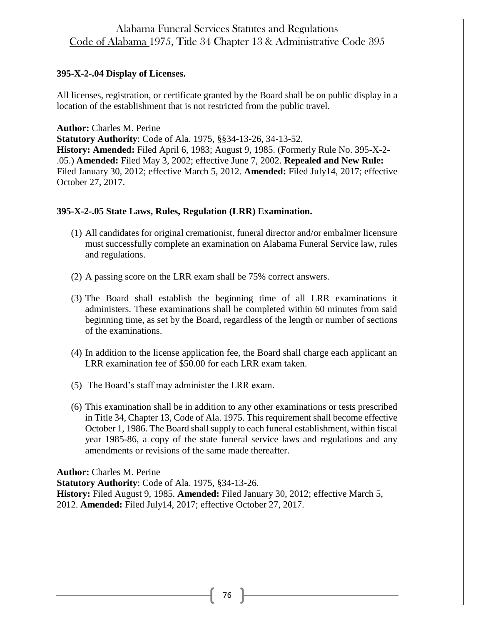## **395-X-2-.04 Display of Licenses.**

All licenses, registration, or certificate granted by the Board shall be on public display in a location of the establishment that is not restricted from the public travel.

**Author:** Charles M. Perine

**Statutory Authority**: Code of Ala. 1975, §§34-13-26, 34-13-52. **History: Amended:** Filed April 6, 1983; August 9, 1985. (Formerly Rule No. 395-X-2- .05.) **Amended:** Filed May 3, 2002; effective June 7, 2002. **Repealed and New Rule:**  Filed January 30, 2012; effective March 5, 2012. **Amended:** Filed July14, 2017; effective October 27, 2017.

## **395-X-2-.05 State Laws, Rules, Regulation (LRR) Examination.**

- (1) All candidates for original cremationist, funeral director and/or embalmer licensure must successfully complete an examination on Alabama Funeral Service law, rules and regulations.
- (2) A passing score on the LRR exam shall be 75% correct answers.
- (3) The Board shall establish the beginning time of all LRR examinations it administers. These examinations shall be completed within 60 minutes from said beginning time, as set by the Board, regardless of the length or number of sections of the examinations.
- (4) In addition to the license application fee, the Board shall charge each applicant an LRR examination fee of \$50.00 for each LRR exam taken.
- (5) The Board's staff may administer the LRR exam.
- (6) This examination shall be in addition to any other examinations or tests prescribed in Title 34, Chapter 13, Code of Ala. 1975. This requirement shall become effective October 1, 1986. The Board shall supply to each funeral establishment, within fiscal year 1985-86, a copy of the state funeral service laws and regulations and any amendments or revisions of the same made thereafter.

**Author:** Charles M. Perine

**Statutory Authority**: Code of Ala. 1975, §34-13-26. **History:** Filed August 9, 1985. **Amended:** Filed January 30, 2012; effective March 5, 2012. **Amended:** Filed July14, 2017; effective October 27, 2017.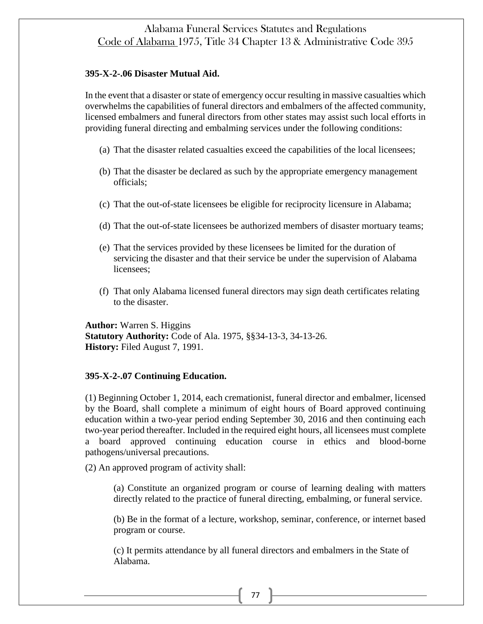#### **395-X-2-.06 Disaster Mutual Aid.**

In the event that a disaster or state of emergency occur resulting in massive casualties which overwhelms the capabilities of funeral directors and embalmers of the affected community, licensed embalmers and funeral directors from other states may assist such local efforts in providing funeral directing and embalming services under the following conditions:

- (a) That the disaster related casualties exceed the capabilities of the local licensees;
- (b) That the disaster be declared as such by the appropriate emergency management officials;
- (c) That the out-of-state licensees be eligible for reciprocity licensure in Alabama;
- (d) That the out-of-state licensees be authorized members of disaster mortuary teams;
- (e) That the services provided by these licensees be limited for the duration of servicing the disaster and that their service be under the supervision of Alabama licensees;
- (f) That only Alabama licensed funeral directors may sign death certificates relating to the disaster.

**Author:** Warren S. Higgins **Statutory Authority:** Code of Ala. 1975, §§34-13-3, 34-13-26. **History:** Filed August 7, 1991.

#### **395-X-2-.07 Continuing Education.**

(1) Beginning October 1, 2014, each cremationist, funeral director and embalmer, licensed by the Board, shall complete a minimum of eight hours of Board approved continuing education within a two-year period ending September 30, 2016 and then continuing each two-year period thereafter. Included in the required eight hours, all licensees must complete a board approved continuing education course in ethics and blood-borne pathogens/universal precautions.

(2) An approved program of activity shall:

(a) Constitute an organized program or course of learning dealing with matters directly related to the practice of funeral directing, embalming, or funeral service.

(b) Be in the format of a lecture, workshop, seminar, conference, or internet based program or course.

(c) It permits attendance by all funeral directors and embalmers in the State of Alabama.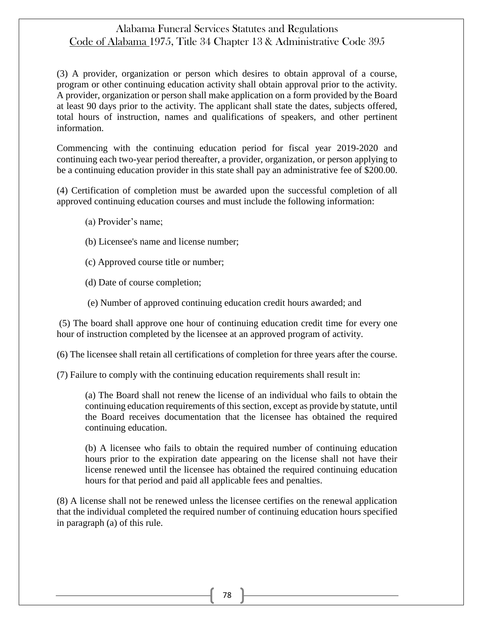(3) A provider, organization or person which desires to obtain approval of a course, program or other continuing education activity shall obtain approval prior to the activity. A provider, organization or person shall make application on a form provided by the Board at least 90 days prior to the activity. The applicant shall state the dates, subjects offered, total hours of instruction, names and qualifications of speakers, and other pertinent information.

Commencing with the continuing education period for fiscal year 2019-2020 and continuing each two-year period thereafter, a provider, organization, or person applying to be a continuing education provider in this state shall pay an administrative fee of \$200.00.

(4) Certification of completion must be awarded upon the successful completion of all approved continuing education courses and must include the following information:

- (a) Provider's name;
- (b) Licensee's name and license number;
- (c) Approved course title or number;
- (d) Date of course completion;
- (e) Number of approved continuing education credit hours awarded; and

(5) The board shall approve one hour of continuing education credit time for every one hour of instruction completed by the licensee at an approved program of activity.

(6) The licensee shall retain all certifications of completion for three years after the course.

(7) Failure to comply with the continuing education requirements shall result in:

(a) The Board shall not renew the license of an individual who fails to obtain the continuing education requirements of this section, except as provide by statute, until the Board receives documentation that the licensee has obtained the required continuing education.

(b) A licensee who fails to obtain the required number of continuing education hours prior to the expiration date appearing on the license shall not have their license renewed until the licensee has obtained the required continuing education hours for that period and paid all applicable fees and penalties.

(8) A license shall not be renewed unless the licensee certifies on the renewal application that the individual completed the required number of continuing education hours specified in paragraph (a) of this rule.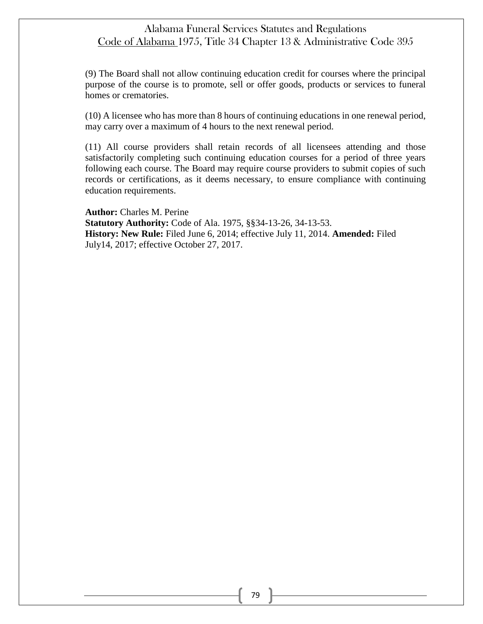(9) The Board shall not allow continuing education credit for courses where the principal purpose of the course is to promote, sell or offer goods, products or services to funeral homes or crematories.

(10) A licensee who has more than 8 hours of continuing educations in one renewal period, may carry over a maximum of 4 hours to the next renewal period.

(11) All course providers shall retain records of all licensees attending and those satisfactorily completing such continuing education courses for a period of three years following each course. The Board may require course providers to submit copies of such records or certifications, as it deems necessary, to ensure compliance with continuing education requirements.

**Author:** Charles M. Perine **Statutory Authority:** Code of Ala. 1975, §§34-13-26, 34-13-53. **History: New Rule:** Filed June 6, 2014; effective July 11, 2014. **Amended:** Filed July14, 2017; effective October 27, 2017.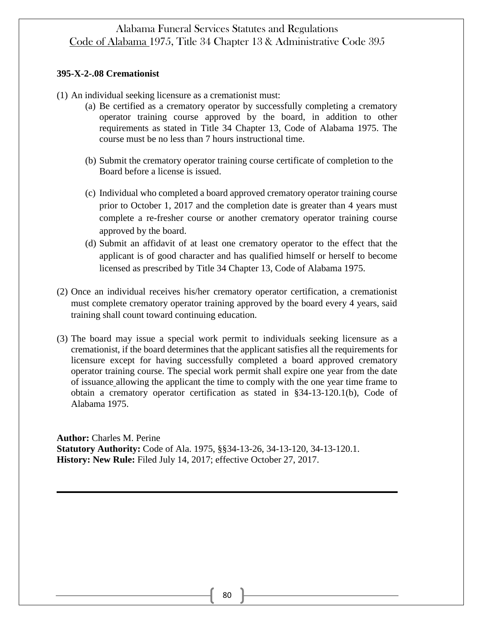## **395-X-2-.08 Cremationist**

- (1) An individual seeking licensure as a cremationist must:
	- (a) Be certified as a crematory operator by successfully completing a crematory operator training course approved by the board, in addition to other requirements as stated in Title 34 Chapter 13, Code of Alabama 1975. The course must be no less than 7 hours instructional time.
	- (b) Submit the crematory operator training course certificate of completion to the Board before a license is issued.
	- (c) Individual who completed a board approved crematory operator training course prior to October 1, 2017 and the completion date is greater than 4 years must complete a re-fresher course or another crematory operator training course approved by the board.
	- (d) Submit an affidavit of at least one crematory operator to the effect that the applicant is of good character and has qualified himself or herself to become licensed as prescribed by Title 34 Chapter 13, Code of Alabama 1975.
- (2) Once an individual receives his/her crematory operator certification, a cremationist must complete crematory operator training approved by the board every 4 years, said training shall count toward continuing education.
- (3) The board may issue a special work permit to individuals seeking licensure as a cremationist, if the board determines that the applicant satisfies all the requirements for licensure except for having successfully completed a board approved crematory operator training course. The special work permit shall expire one year from the date of issuance allowing the applicant the time to comply with the one year time frame to obtain a crematory operator certification as stated in §34-13-120.1(b), Code of Alabama 1975.

**Author:** Charles M. Perine **Statutory Authority:** Code of Ala. 1975, §§34-13-26, 34-13-120, 34-13-120.1. **History: New Rule:** Filed July 14, 2017; effective October 27, 2017.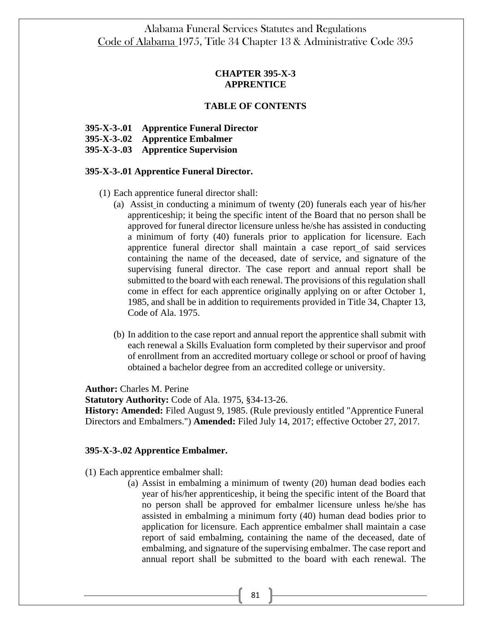## **CHAPTER 395-X-3 APPRENTICE**

## **TABLE OF CONTENTS**

- **395-X-3-.01 Apprentice Funeral Director**
- **395-X-3-.02 Apprentice Embalmer**
- **395-X-3-.03 Apprentice Supervision**

#### **395-X-3-.01 Apprentice Funeral Director.**

- (1) Each apprentice funeral director shall:
	- (a) Assist in conducting a minimum of twenty (20) funerals each year of his/her apprenticeship; it being the specific intent of the Board that no person shall be approved for funeral director licensure unless he/she has assisted in conducting a minimum of forty (40) funerals prior to application for licensure. Each apprentice funeral director shall maintain a case report of said services containing the name of the deceased, date of service, and signature of the supervising funeral director. The case report and annual report shall be submitted to the board with each renewal. The provisions of this regulation shall come in effect for each apprentice originally applying on or after October 1, 1985, and shall be in addition to requirements provided in Title 34, Chapter 13, Code of Ala. 1975.
	- (b) In addition to the case report and annual report the apprentice shall submit with each renewal a Skills Evaluation form completed by their supervisor and proof of enrollment from an accredited mortuary college or school or proof of having obtained a bachelor degree from an accredited college or university.

**Author:** Charles M. Perine

**Statutory Authority:** Code of Ala. 1975, §34-13-26.

**History: Amended:** Filed August 9, 1985. (Rule previously entitled "Apprentice Funeral Directors and Embalmers.") **Amended:** Filed July 14, 2017; effective October 27, 2017.

#### **395-X-3-.02 Apprentice Embalmer.**

- (1) Each apprentice embalmer shall:
	- (a) Assist in embalming a minimum of twenty (20) human dead bodies each year of his/her apprenticeship, it being the specific intent of the Board that no person shall be approved for embalmer licensure unless he/she has assisted in embalming a minimum forty (40) human dead bodies prior to application for licensure. Each apprentice embalmer shall maintain a case report of said embalming, containing the name of the deceased, date of embalming, and signature of the supervising embalmer. The case report and annual report shall be submitted to the board with each renewal. The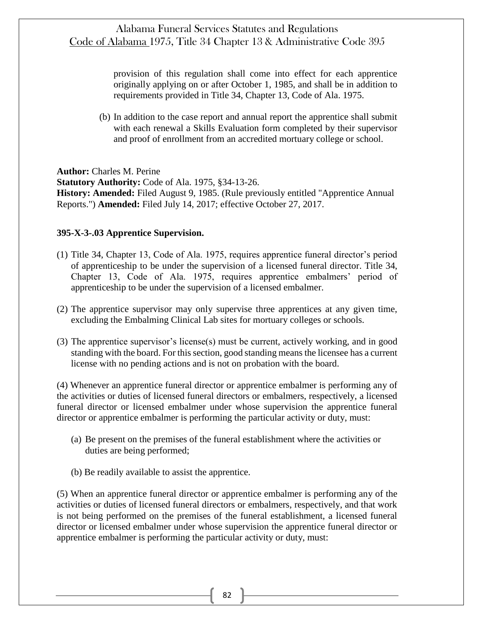provision of this regulation shall come into effect for each apprentice originally applying on or after October 1, 1985, and shall be in addition to requirements provided in Title 34, Chapter 13, Code of Ala. 1975.

(b) In addition to the case report and annual report the apprentice shall submit with each renewal a Skills Evaluation form completed by their supervisor and proof of enrollment from an accredited mortuary college or school.

**Author:** Charles M. Perine **Statutory Authority:** Code of Ala. 1975, §34-13-26. **History: Amended:** Filed August 9, 1985. (Rule previously entitled "Apprentice Annual Reports.") **Amended:** Filed July 14, 2017; effective October 27, 2017.

## **395-X-3-.03 Apprentice Supervision.**

- (1) Title 34, Chapter 13, Code of Ala. 1975, requires apprentice funeral director's period of apprenticeship to be under the supervision of a licensed funeral director. Title 34, Chapter 13, Code of Ala. 1975, requires apprentice embalmers' period of apprenticeship to be under the supervision of a licensed embalmer.
- (2) The apprentice supervisor may only supervise three apprentices at any given time, excluding the Embalming Clinical Lab sites for mortuary colleges or schools.
- (3) The apprentice supervisor's license(s) must be current, actively working, and in good standing with the board. For this section, good standing means the licensee has a current license with no pending actions and is not on probation with the board.

(4) Whenever an apprentice funeral director or apprentice embalmer is performing any of the activities or duties of licensed funeral directors or embalmers, respectively, a licensed funeral director or licensed embalmer under whose supervision the apprentice funeral director or apprentice embalmer is performing the particular activity or duty, must:

- (a) Be present on the premises of the funeral establishment where the activities or duties are being performed;
- (b) Be readily available to assist the apprentice.

(5) When an apprentice funeral director or apprentice embalmer is performing any of the activities or duties of licensed funeral directors or embalmers, respectively, and that work is not being performed on the premises of the funeral establishment, a licensed funeral director or licensed embalmer under whose supervision the apprentice funeral director or apprentice embalmer is performing the particular activity or duty, must: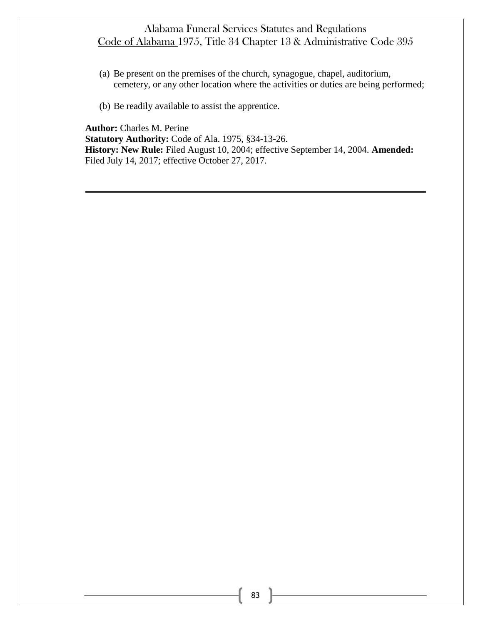- (a) Be present on the premises of the church, synagogue, chapel, auditorium, cemetery, or any other location where the activities or duties are being performed;
- (b) Be readily available to assist the apprentice.

**Author:** Charles M. Perine **Statutory Authority:** Code of Ala. 1975, §34-13-26. **History: New Rule:** Filed August 10, 2004; effective September 14, 2004. **Amended:** Filed July 14, 2017; effective October 27, 2017.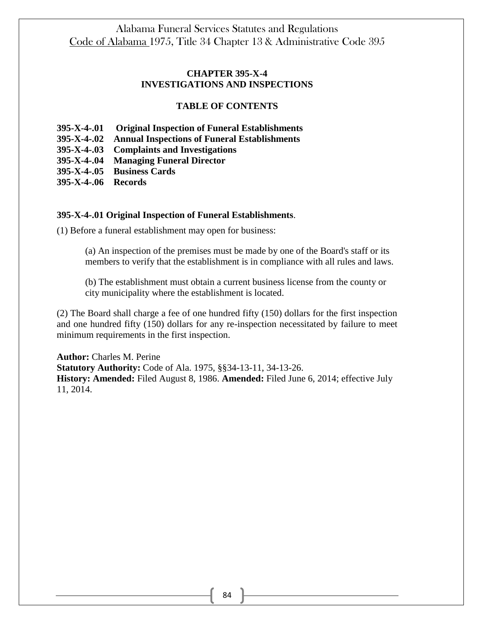## **CHAPTER 395-X-4 INVESTIGATIONS AND INSPECTIONS**

## **TABLE OF CONTENTS**

- **395-X-4-.01 Original Inspection of Funeral Establishments**
- **395-X-4-.02 Annual Inspections of Funeral Establishments**
- **395-X-4-.03 Complaints and Investigations**
- **395-X-4-.04 Managing Funeral Director**
- **395-X-4-.05 Business Cards**
- **395-X-4-.06 Records**

#### **395-X-4-.01 Original Inspection of Funeral Establishments**.

(1) Before a funeral establishment may open for business:

(a) An inspection of the premises must be made by one of the Board's staff or its members to verify that the establishment is in compliance with all rules and laws.

(b) The establishment must obtain a current business license from the county or city municipality where the establishment is located.

(2) The Board shall charge a fee of one hundred fifty (150) dollars for the first inspection and one hundred fifty (150) dollars for any re-inspection necessitated by failure to meet minimum requirements in the first inspection.

**Author:** Charles M. Perine **Statutory Authority:** Code of Ala. 1975, §§34-13-11, 34-13-26. **History: Amended:** Filed August 8, 1986. **Amended:** Filed June 6, 2014; effective July 11, 2014.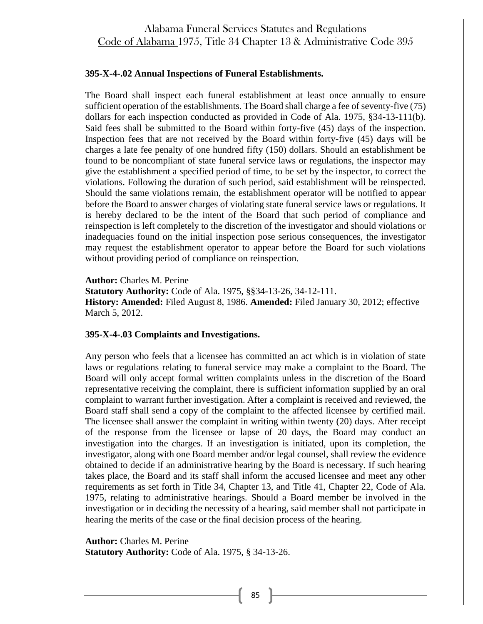#### **395-X-4-.02 Annual Inspections of Funeral Establishments.**

The Board shall inspect each funeral establishment at least once annually to ensure sufficient operation of the establishments. The Board shall charge a fee of seventy-five (75) dollars for each inspection conducted as provided in Code of Ala. 1975, §34-13-111(b). Said fees shall be submitted to the Board within forty-five (45) days of the inspection. Inspection fees that are not received by the Board within forty-five (45) days will be charges a late fee penalty of one hundred fifty (150) dollars. Should an establishment be found to be noncompliant of state funeral service laws or regulations, the inspector may give the establishment a specified period of time, to be set by the inspector, to correct the violations. Following the duration of such period, said establishment will be reinspected. Should the same violations remain, the establishment operator will be notified to appear before the Board to answer charges of violating state funeral service laws or regulations. It is hereby declared to be the intent of the Board that such period of compliance and reinspection is left completely to the discretion of the investigator and should violations or inadequacies found on the initial inspection pose serious consequences, the investigator may request the establishment operator to appear before the Board for such violations without providing period of compliance on reinspection.

**Author:** Charles M. Perine

**Statutory Authority:** Code of Ala. 1975, §§34-13-26, 34-12-111. **History: Amended:** Filed August 8, 1986. **Amended:** Filed January 30, 2012; effective March 5, 2012.

#### **395-X-4-.03 Complaints and Investigations.**

Any person who feels that a licensee has committed an act which is in violation of state laws or regulations relating to funeral service may make a complaint to the Board. The Board will only accept formal written complaints unless in the discretion of the Board representative receiving the complaint, there is sufficient information supplied by an oral complaint to warrant further investigation. After a complaint is received and reviewed, the Board staff shall send a copy of the complaint to the affected licensee by certified mail. The licensee shall answer the complaint in writing within twenty (20) days. After receipt of the response from the licensee or lapse of 20 days, the Board may conduct an investigation into the charges. If an investigation is initiated, upon its completion, the investigator, along with one Board member and/or legal counsel, shall review the evidence obtained to decide if an administrative hearing by the Board is necessary. If such hearing takes place, the Board and its staff shall inform the accused licensee and meet any other requirements as set forth in Title 34, Chapter 13, and Title 41, Chapter 22, Code of Ala. 1975, relating to administrative hearings. Should a Board member be involved in the investigation or in deciding the necessity of a hearing, said member shall not participate in hearing the merits of the case or the final decision process of the hearing.

**Author:** Charles M. Perine **Statutory Authority:** Code of Ala. 1975, § 34-13-26.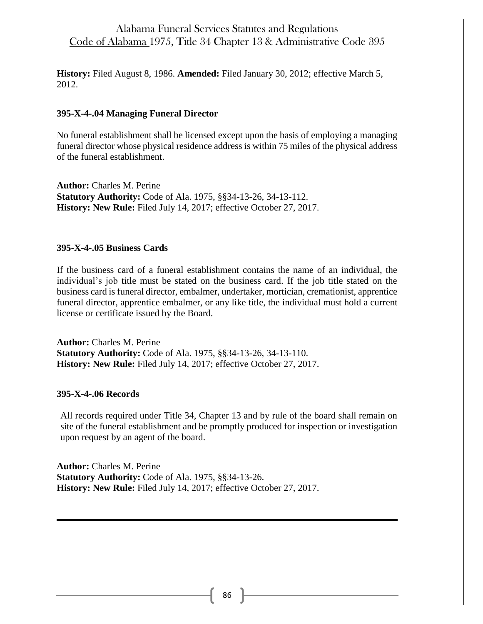**History:** Filed August 8, 1986. **Amended:** Filed January 30, 2012; effective March 5, 2012.

## **395-X-4-.04 Managing Funeral Director**

No funeral establishment shall be licensed except upon the basis of employing a managing funeral director whose physical residence address is within 75 miles of the physical address of the funeral establishment.

**Author:** Charles M. Perine **Statutory Authority:** Code of Ala. 1975, §§34-13-26, 34-13-112. **History: New Rule:** Filed July 14, 2017; effective October 27, 2017.

#### **395-X-4-.05 Business Cards**

If the business card of a funeral establishment contains the name of an individual, the individual's job title must be stated on the business card. If the job title stated on the business card is funeral director, embalmer, undertaker, mortician, cremationist, apprentice funeral director, apprentice embalmer, or any like title, the individual must hold a current license or certificate issued by the Board.

**Author:** Charles M. Perine **Statutory Authority:** Code of Ala. 1975, §§34-13-26, 34-13-110. **History: New Rule:** Filed July 14, 2017; effective October 27, 2017.

#### **395-X-4-.06 Records**

All records required under Title 34, Chapter 13 and by rule of the board shall remain on site of the funeral establishment and be promptly produced for inspection or investigation upon request by an agent of the board.

**Author:** Charles M. Perine **Statutory Authority:** Code of Ala. 1975, §§34-13-26. **History: New Rule:** Filed July 14, 2017; effective October 27, 2017.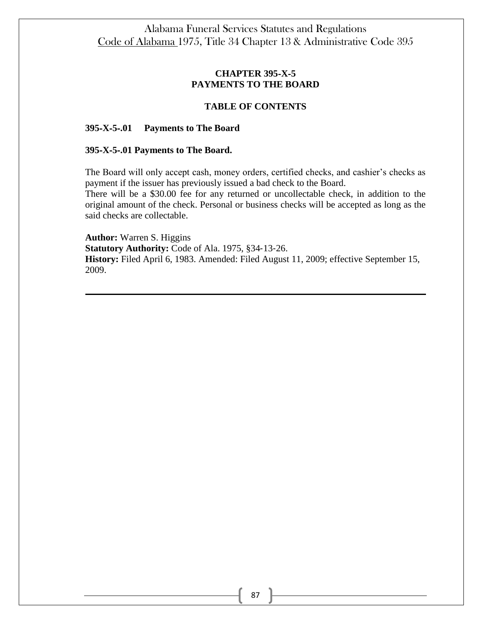# **CHAPTER 395**‐**X**‐**5 PAYMENTS TO THE BOARD**

## **TABLE OF CONTENTS**

#### **395**‐**X**‐**5**‐**.01 Payments to The Board**

#### **395**‐**X**‐**5**‐**.01 Payments to The Board.**

The Board will only accept cash, money orders, certified checks, and cashier's checks as payment if the issuer has previously issued a bad check to the Board.

There will be a \$30.00 fee for any returned or uncollectable check, in addition to the original amount of the check. Personal or business checks will be accepted as long as the said checks are collectable.

**Author:** Warren S. Higgins **Statutory Authority:** Code of Ala. 1975, §34‐13‐26. **History:** Filed April 6, 1983. Amended: Filed August 11, 2009; effective September 15, 2009.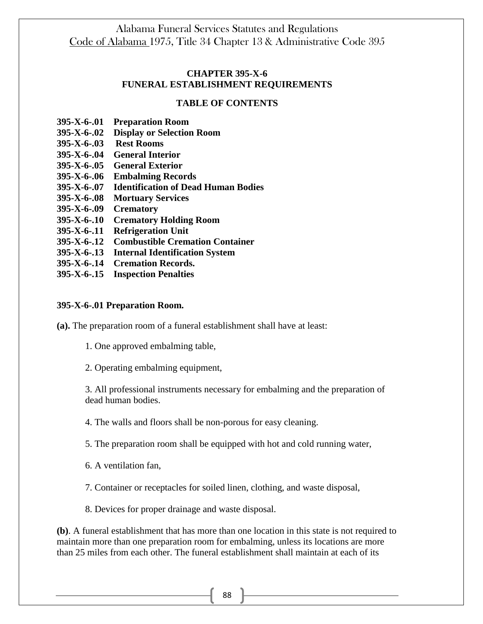## **CHAPTER 395-X-6 FUNERAL ESTABLISHMENT REQUIREMENTS**

#### **TABLE OF CONTENTS**

- **395-X-6-.01 Preparation Room**
- **395-X-6-.02 Display or Selection Room**
- **395-X-6-.03 Rest Rooms**
- **395-X-6-.04 General Interior**
- **395-X-6-.05 General Exterior**
- **395-X-6-.06 Embalming Records**
- **395-X-6-.07 Identification of Dead Human Bodies**
- **395-X-6-.08 Mortuary Services**
- **395-X-6-.09 Crematory**
- **395-X-6-.10 Crematory Holding Room**
- **395-X-6-.11 Refrigeration Unit**
- **395-X-6-.12 Combustible Cremation Container**
- **395-X-6-.13 Internal Identification System**
- **395-X-6-.14 Cremation Records.**
- **395-X-6-.15 Inspection Penalties**

#### **395-X-6-.01 Preparation Room.**

**(a).** The preparation room of a funeral establishment shall have at least:

1. One approved embalming table,

2. Operating embalming equipment,

3. All professional instruments necessary for embalming and the preparation of dead human bodies.

4. The walls and floors shall be non-porous for easy cleaning.

5. The preparation room shall be equipped with hot and cold running water,

6. A ventilation fan,

7. Container or receptacles for soiled linen, clothing, and waste disposal,

8. Devices for proper drainage and waste disposal.

**(b)**. A funeral establishment that has more than one location in this state is not required to maintain more than one preparation room for embalming, unless its locations are more than 25 miles from each other. The funeral establishment shall maintain at each of its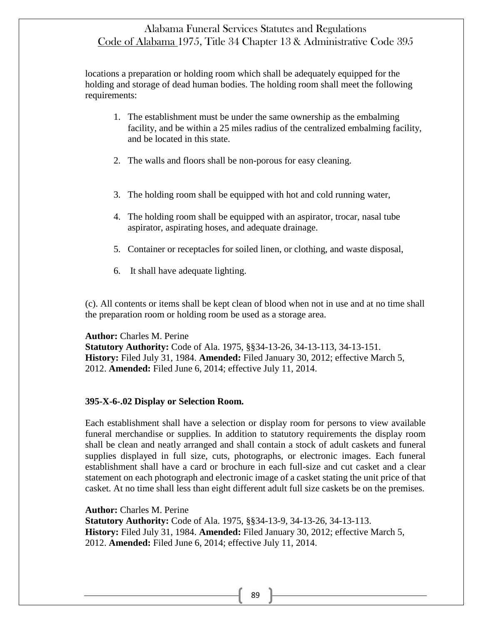locations a preparation or holding room which shall be adequately equipped for the holding and storage of dead human bodies. The holding room shall meet the following requirements:

- 1. The establishment must be under the same ownership as the embalming facility, and be within a 25 miles radius of the centralized embalming facility, and be located in this state.
- 2. The walls and floors shall be non-porous for easy cleaning.
- 3. The holding room shall be equipped with hot and cold running water,
- 4. The holding room shall be equipped with an aspirator, trocar, nasal tube aspirator, aspirating hoses, and adequate drainage.
- 5. Container or receptacles for soiled linen, or clothing, and waste disposal,
- 6. It shall have adequate lighting.

(c). All contents or items shall be kept clean of blood when not in use and at no time shall the preparation room or holding room be used as a storage area.

## **Author:** Charles M. Perine

**Statutory Authority:** Code of Ala. 1975, §§34-13-26, 34-13-113, 34-13-151. **History:** Filed July 31, 1984. **Amended:** Filed January 30, 2012; effective March 5, 2012. **Amended:** Filed June 6, 2014; effective July 11, 2014.

## **395-X-6-.02 Display or Selection Room.**

Each establishment shall have a selection or display room for persons to view available funeral merchandise or supplies. In addition to statutory requirements the display room shall be clean and neatly arranged and shall contain a stock of adult caskets and funeral supplies displayed in full size, cuts, photographs, or electronic images. Each funeral establishment shall have a card or brochure in each full-size and cut casket and a clear statement on each photograph and electronic image of a casket stating the unit price of that casket. At no time shall less than eight different adult full size caskets be on the premises.

**Author:** Charles M. Perine

**Statutory Authority:** Code of Ala. 1975, §§34-13-9, 34-13-26, 34-13-113. **History:** Filed July 31, 1984. **Amended:** Filed January 30, 2012; effective March 5, 2012. **Amended:** Filed June 6, 2014; effective July 11, 2014.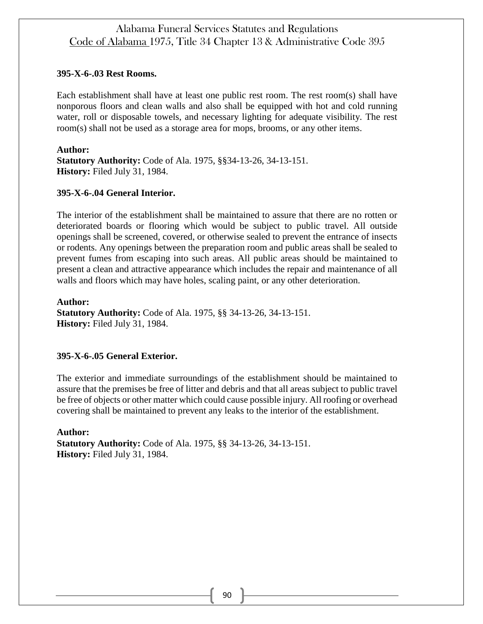## **395-X-6-.03 Rest Rooms.**

Each establishment shall have at least one public rest room. The rest room(s) shall have nonporous floors and clean walls and also shall be equipped with hot and cold running water, roll or disposable towels, and necessary lighting for adequate visibility. The rest room(s) shall not be used as a storage area for mops, brooms, or any other items.

**Author: Statutory Authority:** Code of Ala. 1975, §§34-13-26, 34-13-151. **History:** Filed July 31, 1984.

## **395-X-6-.04 General Interior.**

The interior of the establishment shall be maintained to assure that there are no rotten or deteriorated boards or flooring which would be subject to public travel. All outside openings shall be screened, covered, or otherwise sealed to prevent the entrance of insects or rodents. Any openings between the preparation room and public areas shall be sealed to prevent fumes from escaping into such areas. All public areas should be maintained to present a clean and attractive appearance which includes the repair and maintenance of all walls and floors which may have holes, scaling paint, or any other deterioration.

**Author: Statutory Authority:** Code of Ala. 1975, §§ 34-13-26, 34-13-151. **History:** Filed July 31, 1984.

## **395-X-6-.05 General Exterior.**

The exterior and immediate surroundings of the establishment should be maintained to assure that the premises be free of litter and debris and that all areas subject to public travel be free of objects or other matter which could cause possible injury. All roofing or overhead covering shall be maintained to prevent any leaks to the interior of the establishment.

**Author: Statutory Authority:** Code of Ala. 1975, §§ 34-13-26, 34-13-151. **History:** Filed July 31, 1984.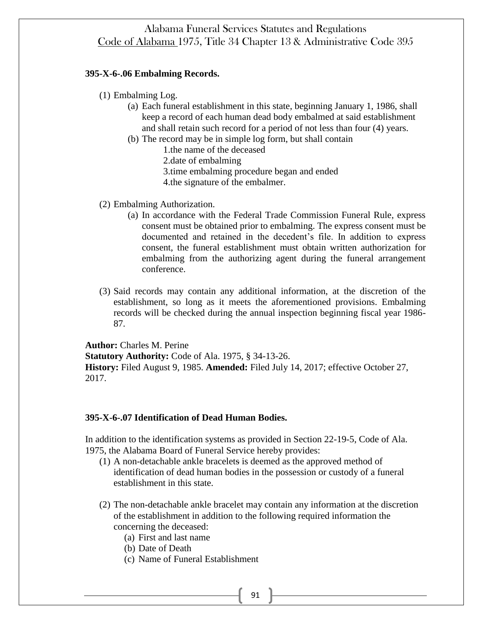#### **395-X-6-.06 Embalming Records.**

- (1) Embalming Log.
	- (a) Each funeral establishment in this state, beginning January 1, 1986, shall keep a record of each human dead body embalmed at said establishment and shall retain such record for a period of not less than four (4) years.
	- (b) The record may be in simple log form, but shall contain
		- 1.the name of the deceased
		- 2.date of embalming
		- 3.time embalming procedure began and ended
		- 4.the signature of the embalmer.
- (2) Embalming Authorization.
	- (a) In accordance with the Federal Trade Commission Funeral Rule, express consent must be obtained prior to embalming. The express consent must be documented and retained in the decedent's file. In addition to express consent, the funeral establishment must obtain written authorization for embalming from the authorizing agent during the funeral arrangement conference.
- (3) Said records may contain any additional information, at the discretion of the establishment, so long as it meets the aforementioned provisions. Embalming records will be checked during the annual inspection beginning fiscal year 1986- 87.

**Author:** Charles M. Perine

**Statutory Authority:** Code of Ala. 1975, § 34-13-26. **History:** Filed August 9, 1985. **Amended:** Filed July 14, 2017; effective October 27, 2017.

## **395-X-6-.07 Identification of Dead Human Bodies.**

In addition to the identification systems as provided in Section 22-19-5, Code of Ala. 1975, the Alabama Board of Funeral Service hereby provides:

- (1) A non-detachable ankle bracelets is deemed as the approved method of identification of dead human bodies in the possession or custody of a funeral establishment in this state.
- (2) The non-detachable ankle bracelet may contain any information at the discretion of the establishment in addition to the following required information the concerning the deceased:
	- (a) First and last name
	- (b) Date of Death
	- (c) Name of Funeral Establishment

91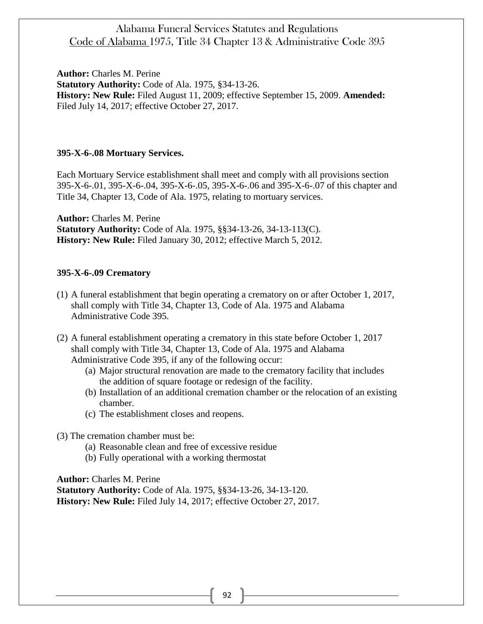**Author:** Charles M. Perine **Statutory Authority:** Code of Ala. 1975, §34-13-26. **History: New Rule:** Filed August 11, 2009; effective September 15, 2009. **Amended:** Filed July 14, 2017; effective October 27, 2017.

#### **395-X-6-.08 Mortuary Services.**

Each Mortuary Service establishment shall meet and comply with all provisions section 395-X-6-.01, 395-X-6-.04, 395-X-6-.05, 395-X-6-.06 and 395-X-6-.07 of this chapter and Title 34, Chapter 13, Code of Ala. 1975, relating to mortuary services.

**Author:** Charles M. Perine **Statutory Authority:** Code of Ala. 1975, §§34-13-26, 34-13-113(C). **History: New Rule:** Filed January 30, 2012; effective March 5, 2012.

#### **395-X-6-.09 Crematory**

- (1) A funeral establishment that begin operating a crematory on or after October 1, 2017, shall comply with Title 34, Chapter 13, Code of Ala. 1975 and Alabama Administrative Code 395.
- (2) A funeral establishment operating a crematory in this state before October 1, 2017 shall comply with Title 34, Chapter 13, Code of Ala. 1975 and Alabama Administrative Code 395, if any of the following occur:
	- (a) Major structural renovation are made to the crematory facility that includes the addition of square footage or redesign of the facility.
	- (b) Installation of an additional cremation chamber or the relocation of an existing chamber.
	- (c) The establishment closes and reopens.

(3) The cremation chamber must be:

- (a) Reasonable clean and free of excessive residue
- (b) Fully operational with a working thermostat

**Author:** Charles M. Perine **Statutory Authority:** Code of Ala. 1975, §§34-13-26, 34-13-120. **History: New Rule:** Filed July 14, 2017; effective October 27, 2017.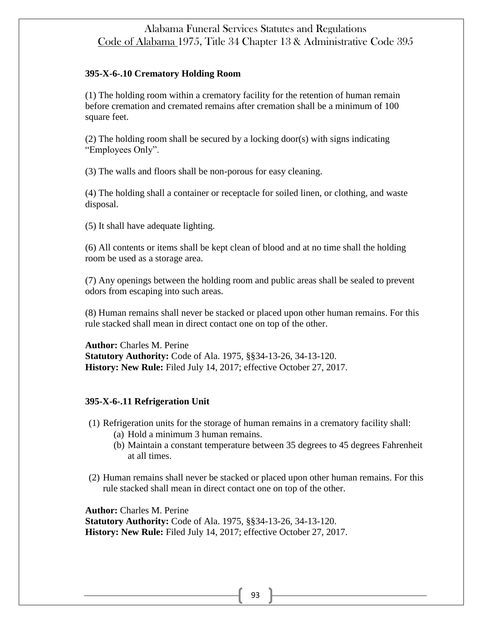## **395-X-6-.10 Crematory Holding Room**

(1) The holding room within a crematory facility for the retention of human remain before cremation and cremated remains after cremation shall be a minimum of 100 square feet.

(2) The holding room shall be secured by a locking door(s) with signs indicating "Employees Only".

(3) The walls and floors shall be non-porous for easy cleaning.

(4) The holding shall a container or receptacle for soiled linen, or clothing, and waste disposal.

(5) It shall have adequate lighting.

(6) All contents or items shall be kept clean of blood and at no time shall the holding room be used as a storage area.

(7) Any openings between the holding room and public areas shall be sealed to prevent odors from escaping into such areas.

(8) Human remains shall never be stacked or placed upon other human remains. For this rule stacked shall mean in direct contact one on top of the other.

**Author:** Charles M. Perine **Statutory Authority:** Code of Ala. 1975, §§34-13-26, 34-13-120. **History: New Rule:** Filed July 14, 2017; effective October 27, 2017.

## **395-X-6-.11 Refrigeration Unit**

(1) Refrigeration units for the storage of human remains in a crematory facility shall:

- (a) Hold a minimum 3 human remains.
- (b) Maintain a constant temperature between 35 degrees to 45 degrees Fahrenheit at all times.
- (2) Human remains shall never be stacked or placed upon other human remains. For this rule stacked shall mean in direct contact one on top of the other.

**Author:** Charles M. Perine **Statutory Authority:** Code of Ala. 1975, §§34-13-26, 34-13-120. **History: New Rule:** Filed July 14, 2017; effective October 27, 2017.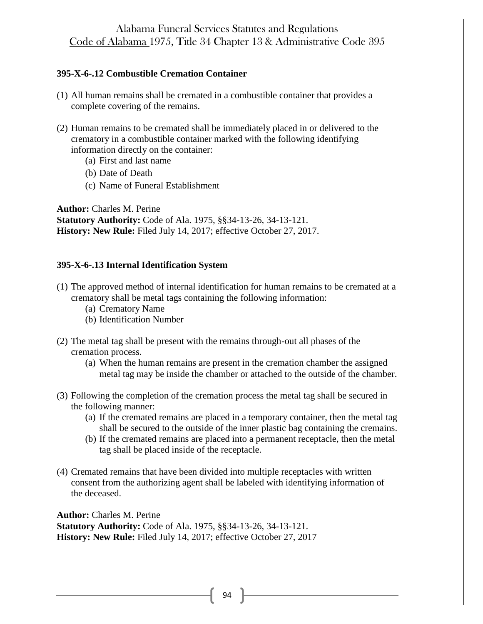## **395-X-6-.12 Combustible Cremation Container**

- (1) All human remains shall be cremated in a combustible container that provides a complete covering of the remains.
- (2) Human remains to be cremated shall be immediately placed in or delivered to the crematory in a combustible container marked with the following identifying information directly on the container:
	- (a) First and last name
	- (b) Date of Death
	- (c) Name of Funeral Establishment

**Author:** Charles M. Perine **Statutory Authority:** Code of Ala. 1975, §§34-13-26, 34-13-121. **History: New Rule:** Filed July 14, 2017; effective October 27, 2017.

## **395-X-6-.13 Internal Identification System**

- (1) The approved method of internal identification for human remains to be cremated at a crematory shall be metal tags containing the following information:
	- (a) Crematory Name
	- (b) Identification Number
- (2) The metal tag shall be present with the remains through-out all phases of the cremation process.
	- (a) When the human remains are present in the cremation chamber the assigned metal tag may be inside the chamber or attached to the outside of the chamber.
- (3) Following the completion of the cremation process the metal tag shall be secured in the following manner:
	- (a) If the cremated remains are placed in a temporary container, then the metal tag shall be secured to the outside of the inner plastic bag containing the cremains.
	- (b) If the cremated remains are placed into a permanent receptacle, then the metal tag shall be placed inside of the receptacle.
- (4) Cremated remains that have been divided into multiple receptacles with written consent from the authorizing agent shall be labeled with identifying information of the deceased.

**Author:** Charles M. Perine **Statutory Authority:** Code of Ala. 1975, §§34-13-26, 34-13-121. **History: New Rule:** Filed July 14, 2017; effective October 27, 2017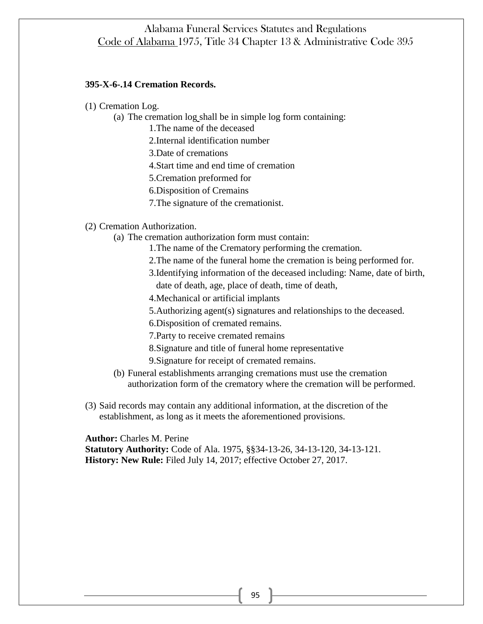## **395-X-6-.14 Cremation Records.**

(1) Cremation Log.

- (a) The cremation log shall be in simple log form containing:
	- 1.The name of the deceased
	- 2.Internal identification number
	- 3.Date of cremations
	- 4.Start time and end time of cremation
	- 5.Cremation preformed for
	- 6.Disposition of Cremains
	- 7.The signature of the cremationist.

(2) Cremation Authorization.

- (a) The cremation authorization form must contain:
	- 1.The name of the Crematory performing the cremation.
	- 2.The name of the funeral home the cremation is being performed for.
	- 3.Identifying information of the deceased including: Name, date of birth,

date of death, age, place of death, time of death,

- 4.Mechanical or artificial implants
- 5.Authorizing agent(s) signatures and relationships to the deceased.
- 6.Disposition of cremated remains.
- 7.Party to receive cremated remains
- 8.Signature and title of funeral home representative
- 9.Signature for receipt of cremated remains.
- (b) Funeral establishments arranging cremations must use the cremation authorization form of the crematory where the cremation will be performed.
- (3) Said records may contain any additional information, at the discretion of the establishment, as long as it meets the aforementioned provisions.

**Author:** Charles M. Perine

**Statutory Authority:** Code of Ala. 1975, §§34-13-26, 34-13-120, 34-13-121. **History: New Rule:** Filed July 14, 2017; effective October 27, 2017.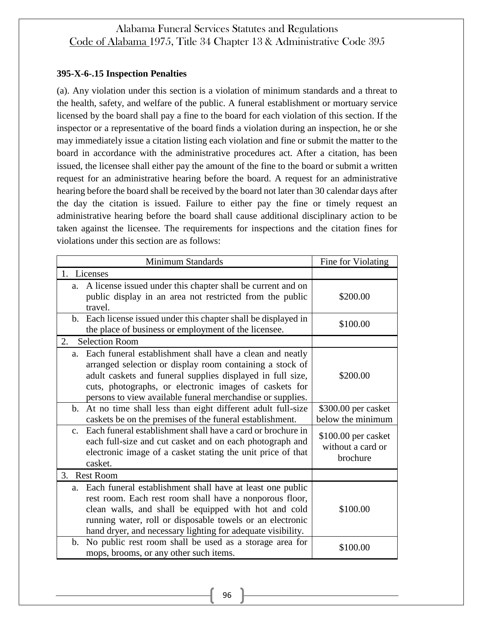## **395-X-6-.15 Inspection Penalties**

(a). Any violation under this section is a violation of minimum standards and a threat to the health, safety, and welfare of the public. A funeral establishment or mortuary service licensed by the board shall pay a fine to the board for each violation of this section. If the inspector or a representative of the board finds a violation during an inspection, he or she may immediately issue a citation listing each violation and fine or submit the matter to the board in accordance with the administrative procedures act. After a citation, has been issued, the licensee shall either pay the amount of the fine to the board or submit a written request for an administrative hearing before the board. A request for an administrative hearing before the board shall be received by the board not later than 30 calendar days after the day the citation is issued. Failure to either pay the fine or timely request an administrative hearing before the board shall cause additional disciplinary action to be taken against the licensee. The requirements for inspections and the citation fines for violations under this section are as follows:

| Minimum Standards                                                                                                                                                                                                                                                                                                | Fine for Violating                                   |
|------------------------------------------------------------------------------------------------------------------------------------------------------------------------------------------------------------------------------------------------------------------------------------------------------------------|------------------------------------------------------|
| 1. Licenses                                                                                                                                                                                                                                                                                                      |                                                      |
| A license issued under this chapter shall be current and on<br>a.<br>public display in an area not restricted from the public<br>travel.                                                                                                                                                                         | \$200.00                                             |
| b. Each license issued under this chapter shall be displayed in<br>the place of business or employment of the licensee.                                                                                                                                                                                          | \$100.00                                             |
| 2.<br><b>Selection Room</b>                                                                                                                                                                                                                                                                                      |                                                      |
| Each funeral establishment shall have a clean and neatly<br>a.<br>arranged selection or display room containing a stock of<br>adult caskets and funeral supplies displayed in full size,<br>cuts, photographs, or electronic images of caskets for<br>persons to view available funeral merchandise or supplies. | \$200.00                                             |
| b. At no time shall less than eight different adult full-size                                                                                                                                                                                                                                                    | \$300.00 per casket                                  |
| caskets be on the premises of the funeral establishment.                                                                                                                                                                                                                                                         | below the minimum                                    |
| Each funeral establishment shall have a card or brochure in<br>$\mathbf{c}$ .<br>each full-size and cut casket and on each photograph and<br>electronic image of a casket stating the unit price of that<br>casket.                                                                                              | \$100.00 per casket<br>without a card or<br>brochure |
| <b>Rest Room</b><br>3.                                                                                                                                                                                                                                                                                           |                                                      |
| Each funeral establishment shall have at least one public<br>a.<br>rest room. Each rest room shall have a nonporous floor,<br>clean walls, and shall be equipped with hot and cold<br>running water, roll or disposable towels or an electronic<br>hand dryer, and necessary lighting for adequate visibility.   | \$100.00                                             |
| No public rest room shall be used as a storage area for<br>b.<br>mops, brooms, or any other such items.                                                                                                                                                                                                          | \$100.00                                             |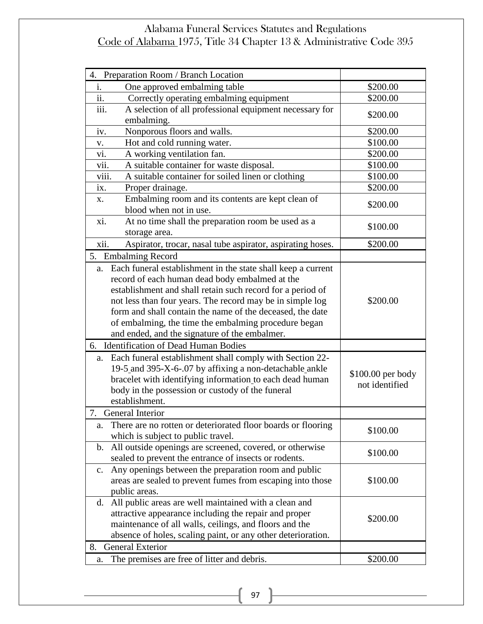| Preparation Room / Branch Location<br>4.                                                                               |                   |
|------------------------------------------------------------------------------------------------------------------------|-------------------|
| One approved embalming table<br>1.                                                                                     | \$200.00          |
| $\overline{ii}$ .<br>Correctly operating embalming equipment                                                           | \$200.00          |
| iii.<br>A selection of all professional equipment necessary for<br>embalming.                                          | \$200.00          |
| Nonporous floors and walls.<br>iv.                                                                                     | \$200.00          |
| Hot and cold running water.<br>V.                                                                                      | \$100.00          |
| A working ventilation fan.<br>vi.                                                                                      | \$200.00          |
| A suitable container for waste disposal.<br>vii.                                                                       | \$100.00          |
| viii.<br>A suitable container for soiled linen or clothing                                                             | \$100.00          |
| Proper drainage.<br>$\overline{1}X$ .                                                                                  | \$200.00          |
| Embalming room and its contents are kept clean of<br>Х.                                                                |                   |
| blood when not in use.                                                                                                 | \$200.00          |
| At no time shall the preparation room be used as a<br>xi.                                                              |                   |
| storage area.                                                                                                          | \$100.00          |
| Aspirator, trocar, nasal tube aspirator, aspirating hoses.<br>xii.                                                     | \$200.00          |
| 5. Embalming Record                                                                                                    |                   |
| a. Each funeral establishment in the state shall keep a current                                                        |                   |
| record of each human dead body embalmed at the                                                                         |                   |
| establishment and shall retain such record for a period of                                                             |                   |
| not less than four years. The record may be in simple log                                                              | \$200.00          |
| form and shall contain the name of the deceased, the date                                                              |                   |
| of embalming, the time the embalming procedure began                                                                   |                   |
| and ended, and the signature of the embalmer.                                                                          |                   |
| 6. Identification of Dead Human Bodies                                                                                 |                   |
|                                                                                                                        |                   |
| a. Each funeral establishment shall comply with Section 22-<br>19-5 and 395-X-6-.07 by affixing a non-detachable ankle |                   |
| bracelet with identifying information to each dead human                                                               | \$100.00 per body |
| body in the possession or custody of the funeral                                                                       | not identified    |
| establishment.                                                                                                         |                   |
| 7. General Interior                                                                                                    |                   |
|                                                                                                                        |                   |
| There are no rotten or deteriorated floor boards or flooring<br>a.<br>which is subject to public travel.               | \$100.00          |
| All outside openings are screened, covered, or otherwise<br>b.                                                         |                   |
| sealed to prevent the entrance of insects or rodents.                                                                  | \$100.00          |
| Any openings between the preparation room and public<br>c.                                                             |                   |
| areas are sealed to prevent fumes from escaping into those                                                             | \$100.00          |
| public areas.                                                                                                          |                   |
| All public areas are well maintained with a clean and<br>d.                                                            |                   |
| attractive appearance including the repair and proper                                                                  |                   |
| maintenance of all walls, ceilings, and floors and the                                                                 | \$200.00          |
| absence of holes, scaling paint, or any other deterioration.                                                           |                   |
| <b>General Exterior</b><br>8.                                                                                          |                   |
| The premises are free of litter and debris.<br>a.                                                                      | \$200.00          |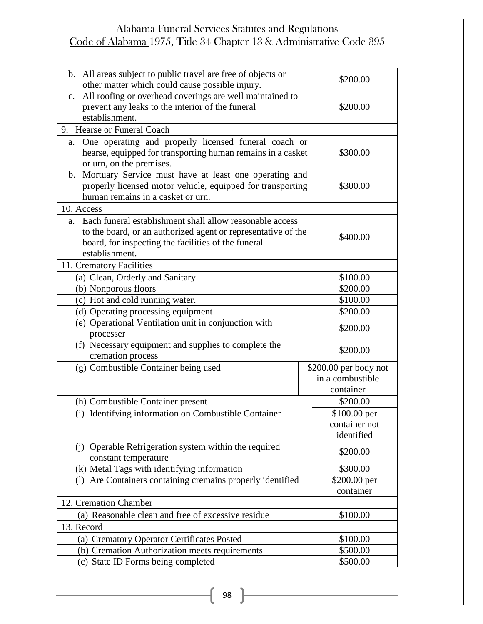| b. All areas subject to public travel are free of objects or<br>other matter which could cause possible injury.                                                                                       | \$200.00                                               |
|-------------------------------------------------------------------------------------------------------------------------------------------------------------------------------------------------------|--------------------------------------------------------|
| All roofing or overhead coverings are well maintained to<br>$c_{\cdot}$<br>prevent any leaks to the interior of the funeral<br>establishment.                                                         | \$200.00                                               |
| 9. Hearse or Funeral Coach                                                                                                                                                                            |                                                        |
| a. One operating and properly licensed funeral coach or<br>hearse, equipped for transporting human remains in a casket<br>or urn, on the premises.                                                    | \$300.00                                               |
| b. Mortuary Service must have at least one operating and<br>properly licensed motor vehicle, equipped for transporting<br>human remains in a casket or urn.                                           | \$300.00                                               |
| 10. Access                                                                                                                                                                                            |                                                        |
| a. Each funeral establishment shall allow reasonable access<br>to the board, or an authorized agent or representative of the<br>board, for inspecting the facilities of the funeral<br>establishment. | \$400.00                                               |
| 11. Crematory Facilities                                                                                                                                                                              |                                                        |
| (a) Clean, Orderly and Sanitary                                                                                                                                                                       | \$100.00                                               |
| (b) Nonporous floors                                                                                                                                                                                  | \$200.00                                               |
| (c) Hot and cold running water.                                                                                                                                                                       | \$100.00                                               |
| (d) Operating processing equipment                                                                                                                                                                    | \$200.00                                               |
| (e) Operational Ventilation unit in conjunction with<br>processer                                                                                                                                     | \$200.00                                               |
| (f) Necessary equipment and supplies to complete the<br>cremation process                                                                                                                             | \$200.00                                               |
| (g) Combustible Container being used                                                                                                                                                                  | \$200.00 per body not<br>in a combustible<br>container |
| (h) Combustible Container present                                                                                                                                                                     | \$200.00                                               |
| (i) Identifying information on Combustible Container                                                                                                                                                  | \$100.00 per<br>container not<br>identified            |
| (j) Operable Refrigeration system within the required<br>constant temperature                                                                                                                         | \$200.00                                               |
| (k) Metal Tags with identifying information                                                                                                                                                           | \$300.00                                               |
| (1) Are Containers containing cremains properly identified                                                                                                                                            | \$200.00 per                                           |
|                                                                                                                                                                                                       | container                                              |
| 12. Cremation Chamber                                                                                                                                                                                 |                                                        |
| (a) Reasonable clean and free of excessive residue                                                                                                                                                    |                                                        |
|                                                                                                                                                                                                       | \$100.00                                               |
| 13. Record                                                                                                                                                                                            |                                                        |
| (a) Crematory Operator Certificates Posted                                                                                                                                                            | \$100.00                                               |
| (b) Cremation Authorization meets requirements<br>(c) State ID Forms being completed                                                                                                                  | \$500.00                                               |